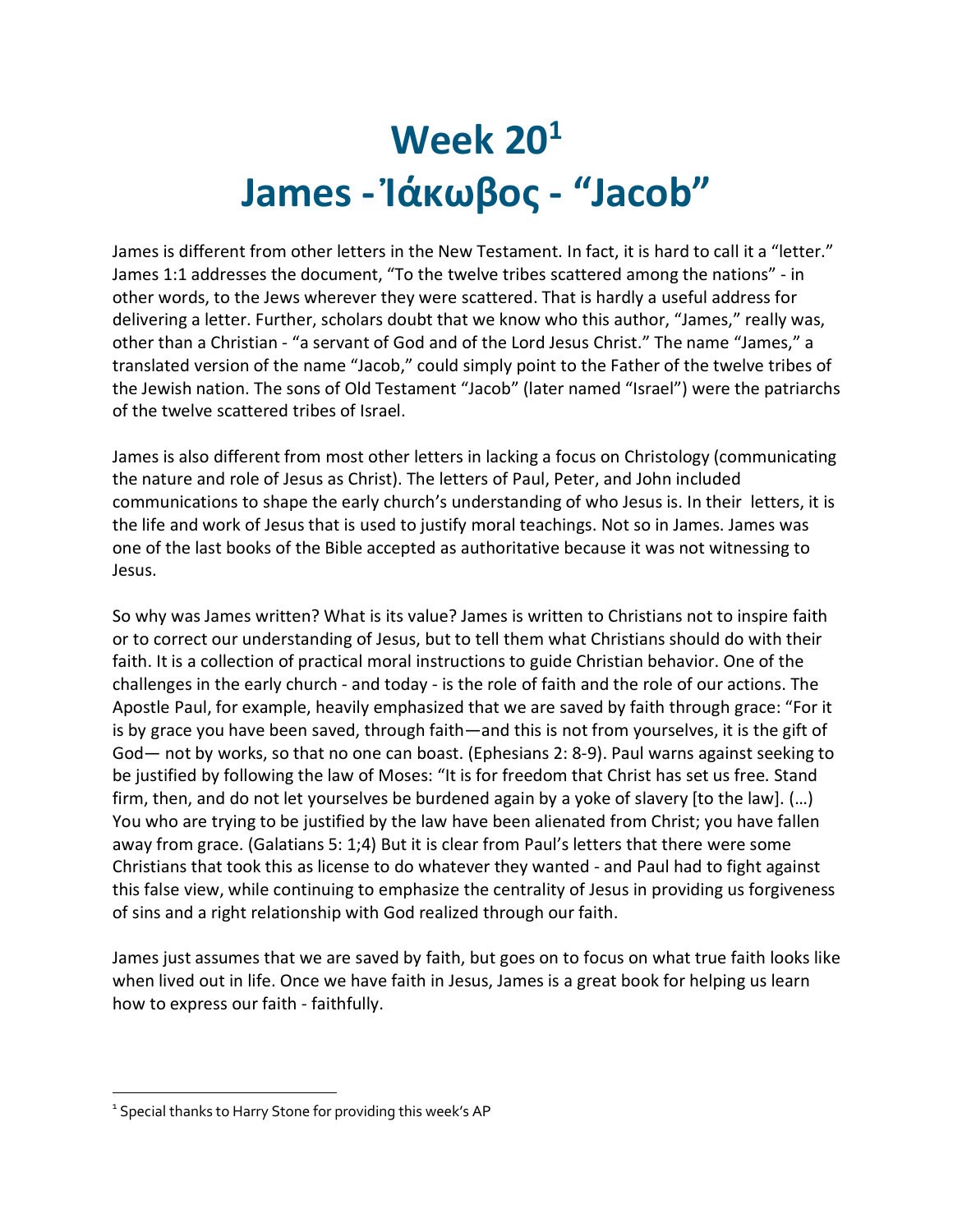# **Week 201 James - Ἰάκωβος - "Jacob"**

James is different from other letters in the New Testament. In fact, it is hard to call it a "letter." James 1:1 addresses the document, "To the twelve tribes scattered among the nations" - in other words, to the Jews wherever they were scattered. That is hardly a useful address for delivering a letter. Further, scholars doubt that we know who this author, "James," really was, other than a Christian - "a servant of God and of the Lord Jesus Christ." The name "James," a translated version of the name "Jacob," could simply point to the Father of the twelve tribes of the Jewish nation. The sons of Old Testament "Jacob" (later named "Israel") were the patriarchs of the twelve scattered tribes of Israel.

James is also different from most other letters in lacking a focus on Christology (communicating the nature and role of Jesus as Christ). The letters of Paul, Peter, and John included communications to shape the early church's understanding of who Jesus is. In their letters, it is the life and work of Jesus that is used to justify moral teachings. Not so in James. James was one of the last books of the Bible accepted as authoritative because it was not witnessing to Jesus.

So why was James written? What is its value? James is written to Christians not to inspire faith or to correct our understanding of Jesus, but to tell them what Christians should do with their faith. It is a collection of practical moral instructions to guide Christian behavior. One of the challenges in the early church - and today - is the role of faith and the role of our actions. The Apostle Paul, for example, heavily emphasized that we are saved by faith through grace: "For it is by grace you have been saved, through faith—and this is not from yourselves, it is the gift of God— not by works, so that no one can boast. (Ephesians 2: 8-9). Paul warns against seeking to be justified by following the law of Moses: "It is for freedom that Christ has set us free. Stand firm, then, and do not let yourselves be burdened again by a yoke of slavery [to the law]. (…) You who are trying to be justified by the law have been alienated from Christ; you have fallen away from grace. (Galatians 5: 1;4) But it is clear from Paul's letters that there were some Christians that took this as license to do whatever they wanted - and Paul had to fight against this false view, while continuing to emphasize the centrality of Jesus in providing us forgiveness of sins and a right relationship with God realized through our faith.

James just assumes that we are saved by faith, but goes on to focus on what true faith looks like when lived out in life. Once we have faith in Jesus, James is a great book for helping us learn how to express our faith - faithfully.

<sup>&</sup>lt;sup>1</sup> Special thanks to Harry Stone for providing this week's AP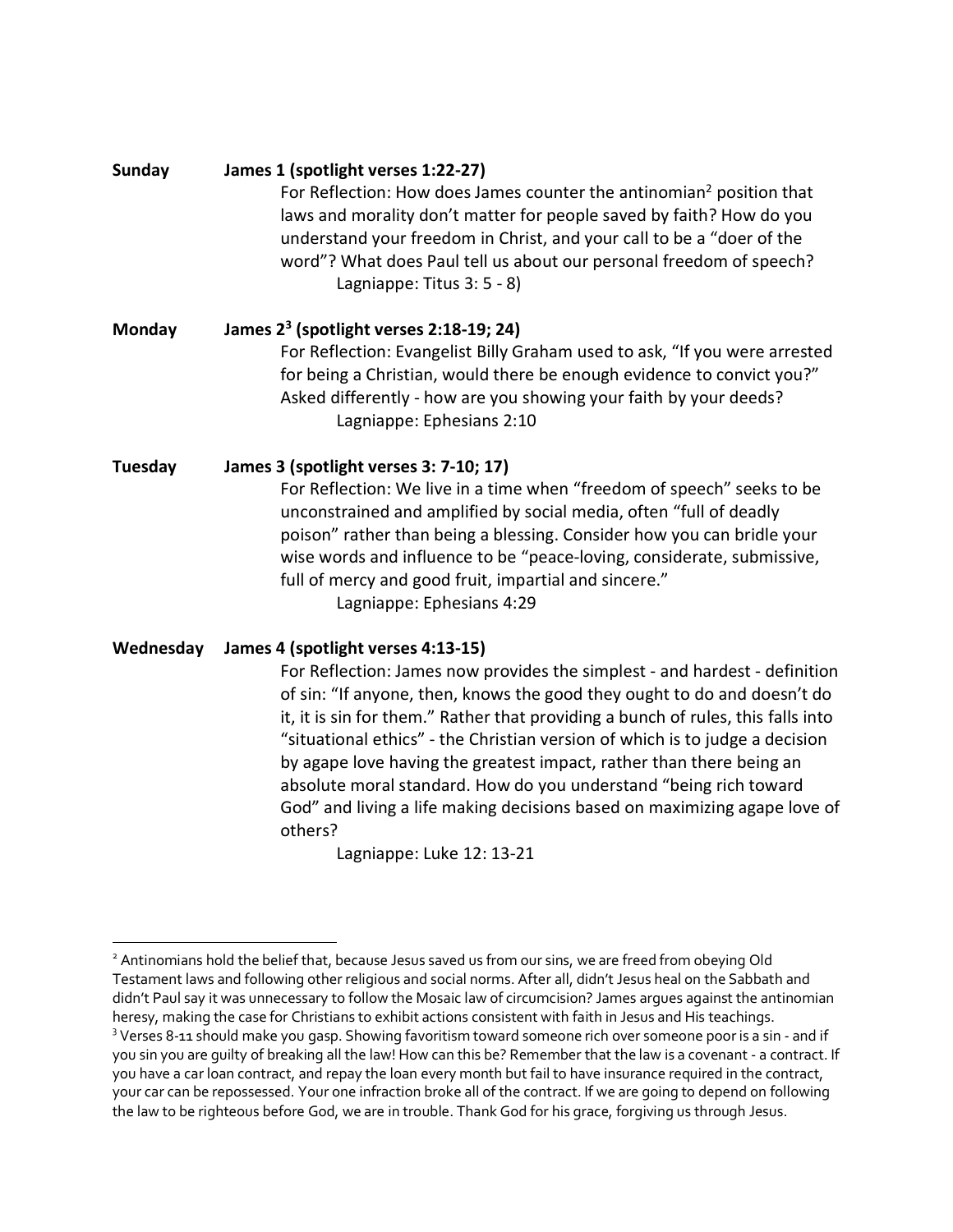**Sunday James 1 (spotlight verses 1:22-27)** For Reflection: How does James counter the antinomian<sup>2</sup> position that laws and morality don't matter for people saved by faith? How do you understand your freedom in Christ, and your call to be a "doer of the word"? What does Paul tell us about our personal freedom of speech? Lagniappe: Titus 3: 5 - 8)

**Monday James 23 (spotlight verses 2:18-19; 24)** For Reflection: Evangelist Billy Graham used to ask, "If you were arrested for being a Christian, would there be enough evidence to convict you?" Asked differently - how are you showing your faith by your deeds? Lagniappe: Ephesians 2:10

**Tuesday James 3 (spotlight verses 3: 7-10; 17)** For Reflection: We live in a time when "freedom of speech" seeks to be unconstrained and amplified by social media, often "full of deadly poison" rather than being a blessing. Consider how you can bridle your wise words and influence to be "peace-loving, considerate, submissive, full of mercy and good fruit, impartial and sincere." Lagniappe: Ephesians 4:29

**Wednesday James 4 (spotlight verses 4:13-15)**

For Reflection: James now provides the simplest - and hardest - definition of sin: "If anyone, then, knows the good they ought to do and doesn't do it, it is sin for them." Rather that providing a bunch of rules, this falls into "situational ethics" - the Christian version of which is to judge a decision by agape love having the greatest impact, rather than there being an absolute moral standard. How do you understand "being rich toward God" and living a life making decisions based on maximizing agape love of others?

Lagniappe: Luke 12: 13-21

<sup>&</sup>lt;sup>2</sup> Antinomians hold the belief that, because Jesus saved us from our sins, we are freed from obeying Old Testament laws and following other religious and social norms. After all, didn't Jesus heal on the Sabbath and didn't Paul say it was unnecessary to follow the Mosaic law of circumcision? James argues against the antinomian heresy, making the case for Christians to exhibit actions consistent with faith in Jesus and His teachings. <sup>3</sup> Verses 8-11 should make you gasp. Showing favoritism toward someone rich over someone pooris a sin - and if you sin you are guilty of breaking all the law! How can this be? Remember that the law is a covenant - a contract. If you have a car loan contract, and repay the loan every month but fail to have insurance required in the contract, your car can be repossessed. Your one infraction broke all of the contract. If we are going to depend on following the law to be righteous before God, we are in trouble. Thank God for his grace, forgiving us through Jesus.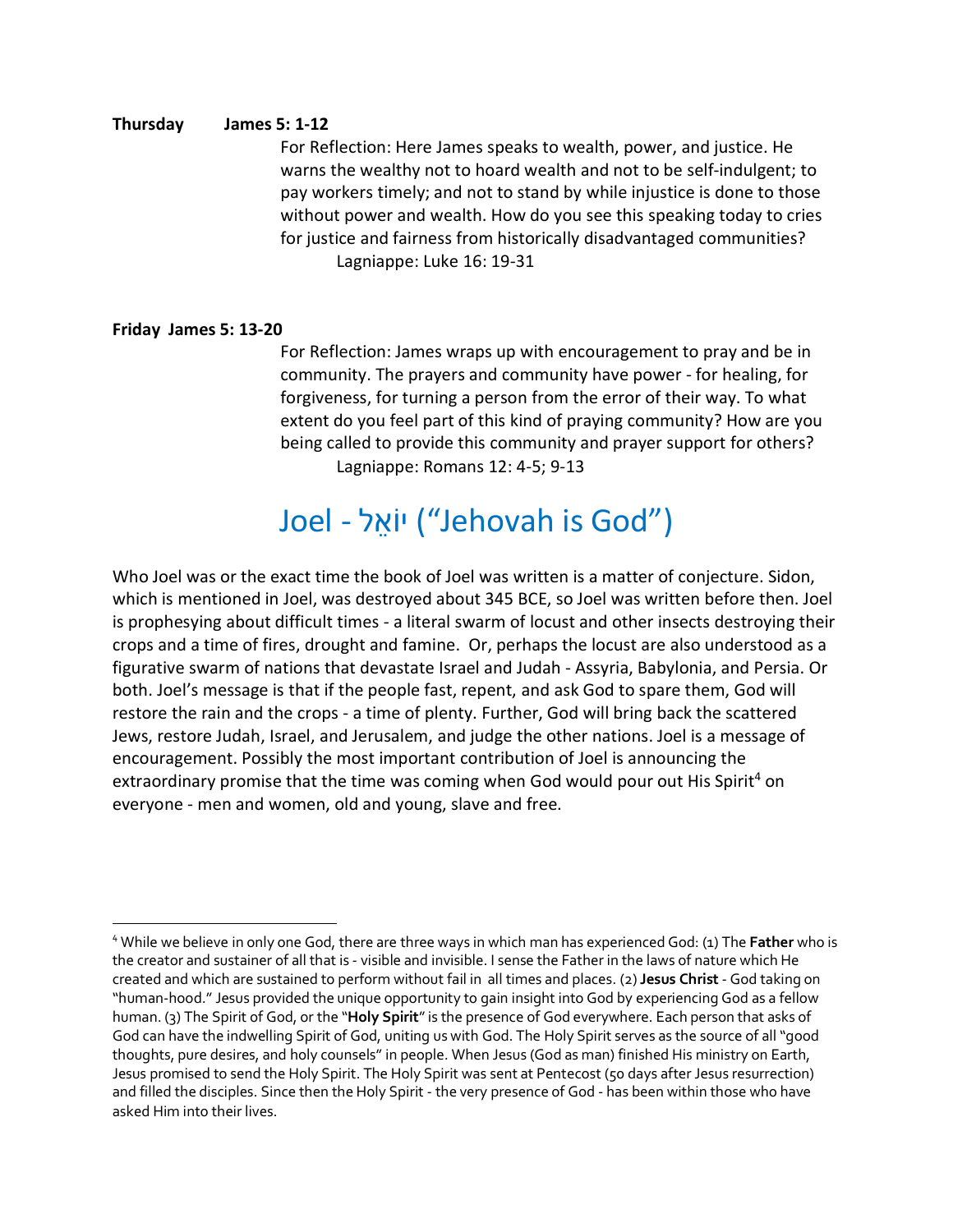## **Thursday James 5: 1-12**

For Reflection: Here James speaks to wealth, power, and justice. He warns the wealthy not to hoard wealth and not to be self-indulgent; to pay workers timely; and not to stand by while injustice is done to those without power and wealth. How do you see this speaking today to cries for justice and fairness from historically disadvantaged communities? Lagniappe: Luke 16: 19-31

## **Friday James 5: 13-20**

For Reflection: James wraps up with encouragement to pray and be in community. The prayers and community have power - for healing, for forgiveness, for turning a person from the error of their way. To what extent do you feel part of this kind of praying community? How are you being called to provide this community and prayer support for others? Lagniappe: Romans 12: 4-5; 9-13

## Joel - יוֹאֵל ("Jehovah is God")

Who Joel was or the exact time the book of Joel was written is a matter of conjecture. Sidon, which is mentioned in Joel, was destroyed about 345 BCE, so Joel was written before then. Joel is prophesying about difficult times - a literal swarm of locust and other insects destroying their crops and a time of fires, drought and famine. Or, perhaps the locust are also understood as a figurative swarm of nations that devastate Israel and Judah - Assyria, Babylonia, and Persia. Or both. Joel's message is that if the people fast, repent, and ask God to spare them, God will restore the rain and the crops - a time of plenty. Further, God will bring back the scattered Jews, restore Judah, Israel, and Jerusalem, and judge the other nations. Joel is a message of encouragement. Possibly the most important contribution of Joel is announcing the extraordinary promise that the time was coming when God would pour out His Spirit<sup>4</sup> on everyone - men and women, old and young, slave and free.

<sup>4</sup> While we believe in only one God, there are three ways in which man has experienced God: (1) The **Father** who is the creator and sustainer of all that is - visible and invisible. I sense the Father in the laws of nature which He created and which are sustained to perform without fail in all times and places. (2) **Jesus Christ** - God taking on "human-hood." Jesus provided the unique opportunity to gain insight into God by experiencing God as a fellow human. (3) The Spirit of God, or the "**Holy Spirit**"is the presence of God everywhere. Each person that asks of God can have the indwelling Spirit of God, uniting us with God. The Holy Spirit serves as the source of all"good thoughts, pure desires, and holy counsels" in people. When Jesus (God as man) finished His ministry on Earth, Jesus promised to send the Holy Spirit. The Holy Spirit was sent at Pentecost (50 days after Jesus resurrection) and filled the disciples. Since then the Holy Spirit - the very presence of God - has been within those who have asked Him into their lives.